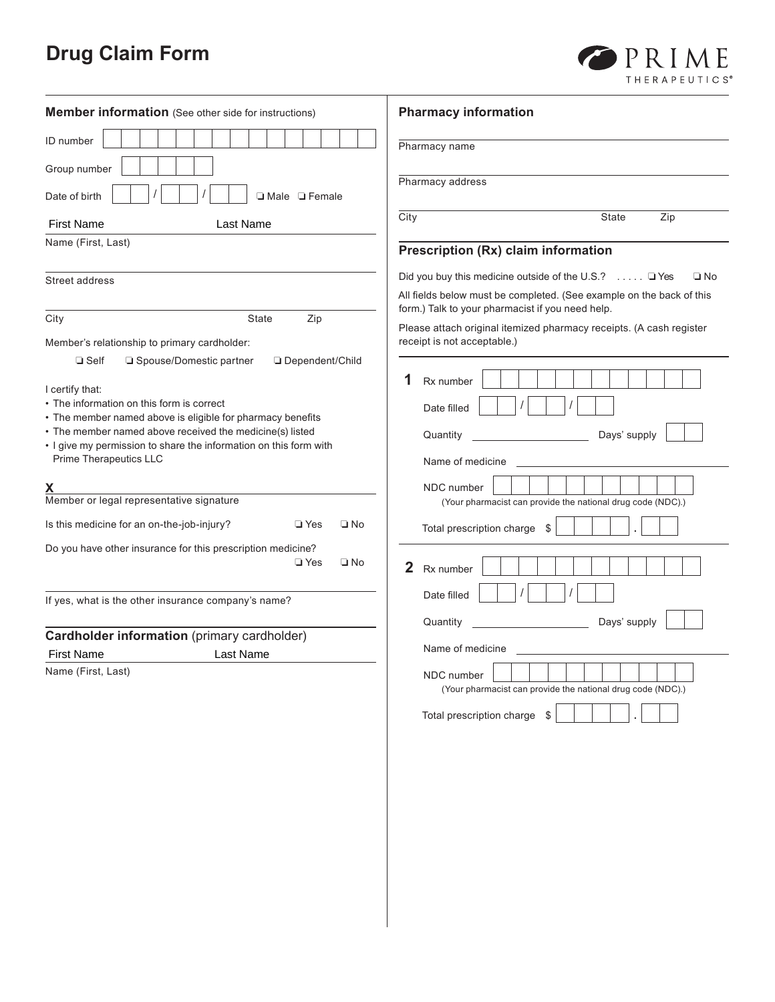# **Drug Claim Form**

| <b>Member information</b> (See other side for instructions)         | <b>Pharmacy information</b>                                                                                                                                |
|---------------------------------------------------------------------|------------------------------------------------------------------------------------------------------------------------------------------------------------|
| ID number                                                           | Pharmacy name                                                                                                                                              |
| Group number                                                        | Pharmacy address                                                                                                                                           |
| Date of birth<br>□ Male □ Female                                    |                                                                                                                                                            |
| <b>First Name</b><br><b>Last Name</b>                               | City<br>State<br>Zip                                                                                                                                       |
| Name (First, Last)                                                  | Prescription (Rx) claim information                                                                                                                        |
| Street address                                                      | Did you buy this medicine outside of the U.S.? $\ldots$ $\Box$ Yes<br>$\square$ No<br>All fields below must be completed. (See example on the back of this |
| City<br>State<br>Zip                                                | form.) Talk to your pharmacist if you need help.<br>Please attach original itemized pharmacy receipts. (A cash register                                    |
| Member's relationship to primary cardholder:                        | receipt is not acceptable.)                                                                                                                                |
| □ Spouse/Domestic partner<br>□ Dependent/Child<br>$\Box$ Self       | 1<br>Rx number                                                                                                                                             |
| I certify that:<br>• The information on this form is correct        |                                                                                                                                                            |
| • The member named above is eligible for pharmacy benefits          | Date filled                                                                                                                                                |
| • The member named above received the medicine(s) listed            | Days' supply<br>Quantity                                                                                                                                   |
| . I give my permission to share the information on this form with   |                                                                                                                                                            |
| Prime Therapeutics LLC                                              | Name of medicine                                                                                                                                           |
|                                                                     | NDC number                                                                                                                                                 |
| Member or legal representative signature                            | (Your pharmacist can provide the national drug code (NDC).)                                                                                                |
| Is this medicine for an on-the-job-injury?<br>$\square$ Yes<br>□ No | Total prescription charge<br>S.                                                                                                                            |
| Do you have other insurance for this prescription medicine?         |                                                                                                                                                            |
| $\Box$ Yes<br>$\square$ No                                          | $\mathbf{2}$<br>Rx number                                                                                                                                  |
| If yes, what is the other insurance company's name?                 | Date filled                                                                                                                                                |
|                                                                     | Days' supply<br>Quantity                                                                                                                                   |
| Cardholder information (primary cardholder)                         |                                                                                                                                                            |
| <b>First Name</b><br>Last Name                                      | Name of medicine                                                                                                                                           |
| Name (First, Last)                                                  | NDC number<br>(Your pharmacist can provide the national drug code (NDC).)                                                                                  |
|                                                                     | Total prescription charge \$                                                                                                                               |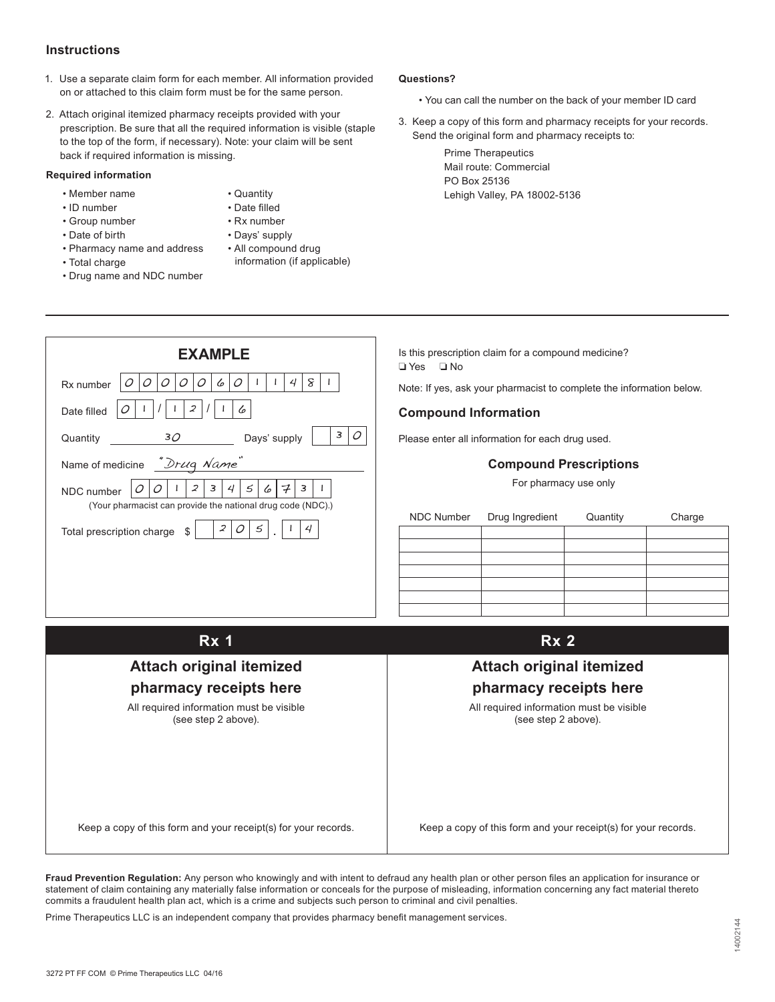#### **Instructions**

- 1. Use a separate claim form for each member. All information provided on or attached to this claim form must be for the same person.
- 2. Attach original itemized pharmacy receipts provided with your prescription. Be sure that all the required information is visible (staple to the top of the form, if necessary). Note: your claim will be sent back if required information is missing.

#### **Required information**

- Member name
- ID number • Group number

• Date of birth

- Quantity • Date filled
	- • Rx number
	- - Days' supply
	- All compound drug information (if applicable)
- Total charge • Drug name and NDC number

• Pharmacy name and address

| <b>EXAMPLE</b>                                              |  |  |  |  |
|-------------------------------------------------------------|--|--|--|--|
| 8<br>6<br>4<br>Rx number                                    |  |  |  |  |
| $\overline{\mathcal{L}}$<br>6<br>Date filled                |  |  |  |  |
| 3<br>30<br>Days' supply<br>Quantity                         |  |  |  |  |
| "Drug Name"<br>Name of medicine                             |  |  |  |  |
| 3<br>2<br>5<br>3<br>4<br>NDC number<br>6                    |  |  |  |  |
| (Your pharmacist can provide the national drug code (NDC).) |  |  |  |  |
| 2<br>4<br>5<br>Total prescription charge<br>\$              |  |  |  |  |
|                                                             |  |  |  |  |

#### **Questions?**

- You can call the number on the back of your member ID card
- 3. Keep a copy of this form and pharmacy receipts for your records. Send the original form and pharmacy receipts to:

Prime Therapeutics Mail route: Commercial PO Box 25136 Lehigh Valley, PA 18002-5136

Is this prescription claim for a compound medicine? ❏ Yes ❏ No

Note: If yes, ask your pharmacist to complete the information below.

#### **Compound Information**

Please enter all information for each drug used.

#### **Compound Prescriptions**

For pharmacy use only

| NDC Number | Drug Ingredient | Quantity | Charge |
|------------|-----------------|----------|--------|
|            |                 |          |        |
|            |                 |          |        |
|            |                 |          |        |
|            |                 |          |        |
|            |                 |          |        |
|            |                 |          |        |
|            |                 |          |        |

| <b>Rx 1</b>                                                     | Rx <sub>2</sub>                                                 |
|-----------------------------------------------------------------|-----------------------------------------------------------------|
| <b>Attach original itemized</b>                                 | <b>Attach original itemized</b>                                 |
| pharmacy receipts here                                          | pharmacy receipts here                                          |
| All required information must be visible<br>(see step 2 above). | All required information must be visible<br>(see step 2 above). |
| Keep a copy of this form and your receipt(s) for your records.  | Keep a copy of this form and your receipt(s) for your records.  |

**Fraud Prevention Regulation:** Any person who knowingly and with intent to defraud any health plan or other person files an application for insurance or statement of claim containing any materially false information or conceals for the purpose of misleading, information concerning any fact material thereto commits a fraudulent health plan act, which is a crime and subjects such person to criminal and civil penalties.

Prime Therapeutics LLC is an independent company that provides pharmacy benefit management services.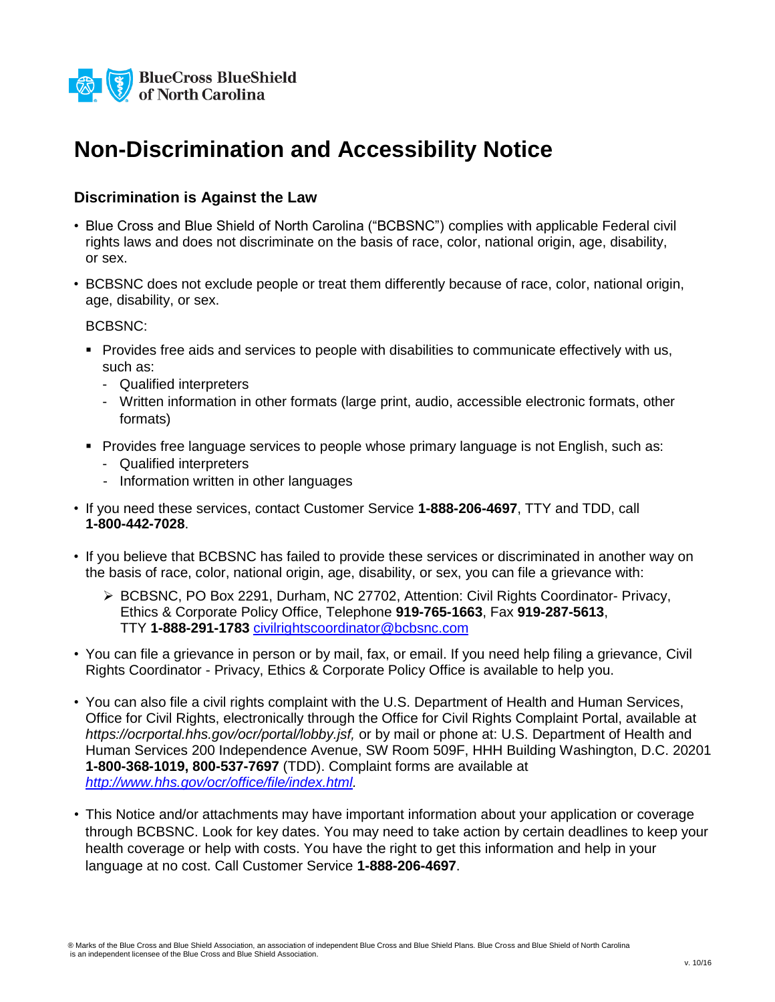

## **Non-Discrimination and Accessibility Notice**

### **Discrimination is Against the Law**

- Blue Cross and Blue Shield of North Carolina ("BCBSNC") complies with applicable Federal civil rights laws and does not discriminate on the basis of race, color, national origin, age, disability, or sex.
- BCBSNC does not exclude people or treat them differently because of race, color, national origin, age, disability, or sex.

BCBSNC:

- Provides free aids and services to people with disabilities to communicate effectively with us, such as:
	- Qualified interpreters
	- Written information in other formats (large print, audio, accessible electronic formats, other formats)
- **Provides free language services to people whose primary language is not English, such as:** 
	- Qualified interpreters
	- Information written in other languages
- If you need these services, contact Customer Service **1-888-206-4697**, TTY and TDD, call **1-800-442-7028**.
- If you believe that BCBSNC has failed to provide these services or discriminated in another way on the basis of race, color, national origin, age, disability, or sex, you can file a grievance with:
	- ▶ BCBSNC, PO Box 2291, Durham, NC 27702, Attention: Civil Rights Coordinator- Privacy, Ethics & Corporate Policy Office, Telephone **919-765-1663**, Fax **919-287-5613**, TTY **1-888-291-1783** [civilrightscoordinator@bcbsnc.com](mailto:civilrightscoordinator@bcbsnc.com)
- You can file a grievance in person or by mail, fax, or email. If you need help filing a grievance, Civil Rights Coordinator - Privacy, Ethics & Corporate Policy Office is available to help you.
- You can also file a civil rights complaint with the U.S. Department of Health and Human Services, Office for Civil Rights, electronically through the Office for Civil Rights Complaint Portal, available at *https://ocrportal.hhs.gov/ocr/portal/lobby.jsf,* or by mail or phone at: U.S. Department of Health and Human Services 200 Independence Avenue, SW Room 509F, HHH Building Washington, D.C. 20201 **1-800-368-1019, 800-537-7697** (TDD). Complaint forms are available at *[http://www.hhs.gov/ocr/office/file/index.html.](http://www.hhs.gov/ocr/office/file/index.html)*
- This Notice and/or attachments may have important information about your application or coverage through BCBSNC. Look for key dates. You may need to take action by certain deadlines to keep your health coverage or help with costs. You have the right to get this information and help in your language at no cost. Call Customer Service **1-888-206-4697**.